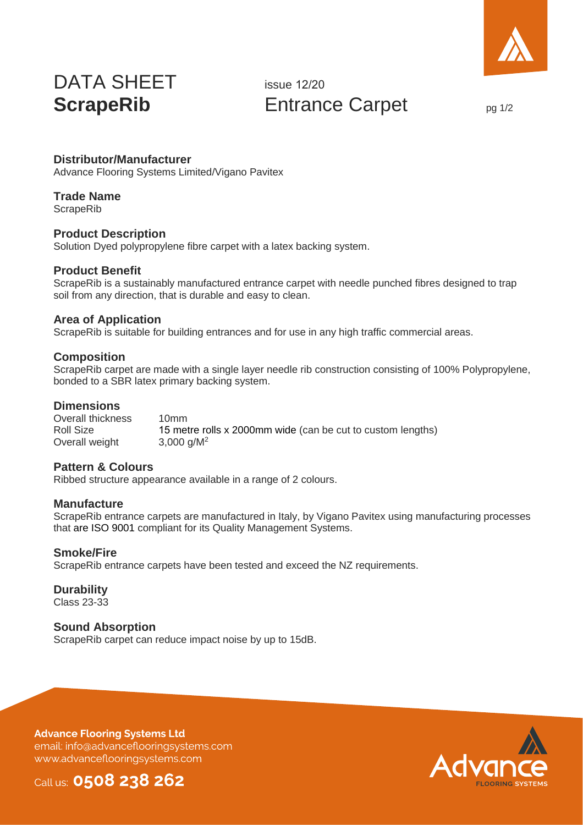

# DATA SHEET **ScrapeRib**

issue 12/20 Entrance Carpet  $_{pg 1/2}$ 

# **Distributor/Manufacturer**

Advance Flooring Systems Limited/Vigano Pavitex

# **Trade Name**

**ScrapeRib** 

#### **Product Description**

Solution Dyed polypropylene fibre carpet with a latex backing system.

# **Product Benefit**

ScrapeRib is a sustainably manufactured entrance carpet with needle punched fibres designed to trap soil from any direction, that is durable and easy to clean.

#### **Area of Application**

ScrapeRib is suitable for building entrances and for use in any high traffic commercial areas.

#### **Composition**

ScrapeRib carpet are made with a single layer needle rib construction consisting of 100% Polypropylene, bonded to a SBR latex primary backing system.

#### **Dimensions**

Overall thickness Roll Size Overall weight 10mm 15 metre rolls x 2000mm wide (can be cut to custom lengths) 3,000 g/M<sup>2</sup>

#### **Pattern & Colours**

Ribbed structure appearance available in a range of 2 colours.

#### **Manufacture**

ScrapeRib entrance carpets are manufactured in Italy, by Vigano Pavitex using manufacturing processes that are ISO 9001 compliant for its Quality Management Systems.

#### **Smoke/Fire**

ScrapeRib entrance carpets have been tested and exceed the NZ requirements.

#### **Durability**

Class 23-33

#### **Sound Absorption**

ScrapeRib carpet can reduce impact noise by up to 15dB.

**Advance Flooring Systems Ltd** email: info@advanceflooringsystems.com www.advanceflooringsystems.com